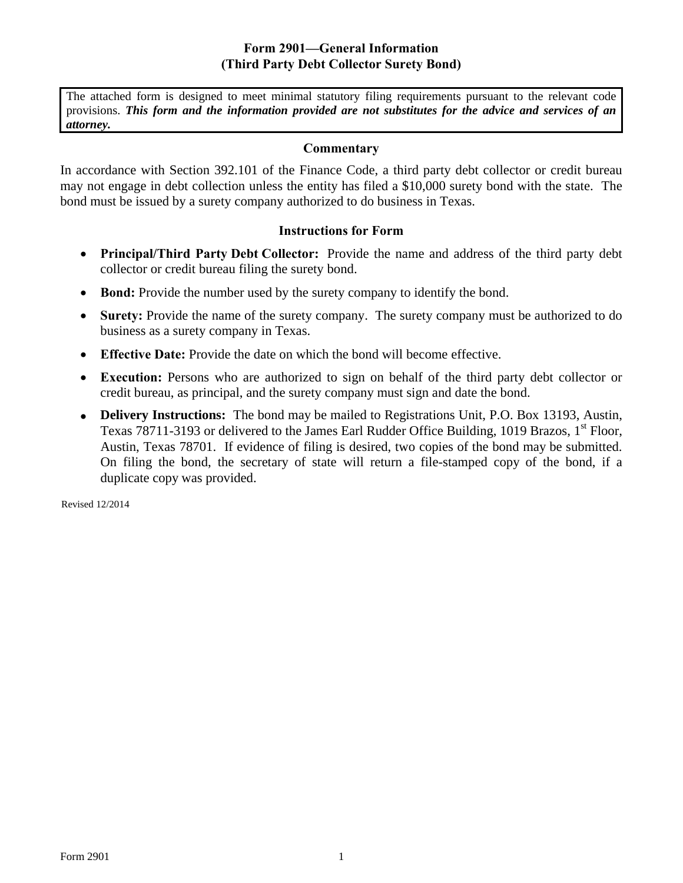## **Form 2901—General Information (Third Party Debt Collector Surety Bond)**

The attached form is designed to meet minimal statutory filing requirements pursuant to the relevant code provisions. *This form and the information provided are not substitutes for the advice and services of an attorney.* 

## **Commentary**

In accordance with Section 392.101 of the Finance Code, a third party debt collector or credit bureau may not engage in debt collection unless the entity has filed a \$10,000 surety bond with the state. The bond must be issued by a surety company authorized to do business in Texas.

## **Instructions for Form**

- **Principal/Third Party Debt Collector:** Provide the name and address of the third party debt collector or credit bureau filing the surety bond.
- **Bond:** Provide the number used by the surety company to identify the bond.
- **Surety:** Provide the name of the surety company. The surety company must be authorized to do business as a surety company in Texas.
- **Effective Date:** Provide the date on which the bond will become effective.
- **Execution:** Persons who are authorized to sign on behalf of the third party debt collector or credit bureau, as principal, and the surety company must sign and date the bond.
- **Delivery Instructions:** The bond may be mailed to Registrations Unit, P.O. Box 13193, Austin, Texas 78711-3193 or delivered to the James Earl Rudder Office Building, 1019 Brazos,  $1<sup>st</sup>$  Floor, Austin, Texas 78701. If evidence of filing is desired, two copies of the bond may be submitted. On filing the bond, the secretary of state will return a file-stamped copy of the bond, if a duplicate copy was provided.

Revised 12/2014